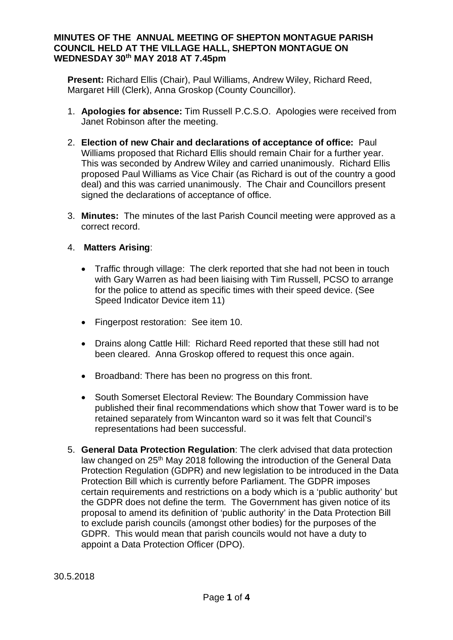### **MINUTES OF THE ANNUAL MEETING OF SHEPTON MONTAGUE PARISH COUNCIL HELD AT THE VILLAGE HALL, SHEPTON MONTAGUE ON WEDNESDAY 30th MAY 2018 AT 7.45pm**

**Present:** Richard Ellis (Chair), Paul Williams, Andrew Wiley, Richard Reed, Margaret Hill (Clerk), Anna Groskop (County Councillor).

- 1. **Apologies for absence:** Tim Russell P.C.S.O. Apologies were received from Janet Robinson after the meeting.
- 2. **Election of new Chair and declarations of acceptance of office:** Paul Williams proposed that Richard Ellis should remain Chair for a further year. This was seconded by Andrew Wiley and carried unanimously. Richard Ellis proposed Paul Williams as Vice Chair (as Richard is out of the country a good deal) and this was carried unanimously. The Chair and Councillors present signed the declarations of acceptance of office.
- 3. **Minutes:** The minutes of the last Parish Council meeting were approved as a correct record.

# 4. **Matters Arising**:

- · Traffic through village: The clerk reported that she had not been in touch with Gary Warren as had been liaising with Tim Russell, PCSO to arrange for the police to attend as specific times with their speed device. (See Speed Indicator Device item 11)
- · Fingerpost restoration: See item 10.
- · Drains along Cattle Hill: Richard Reed reported that these still had not been cleared. Anna Groskop offered to request this once again.
- · Broadband: There has been no progress on this front.
- · South Somerset Electoral Review: The Boundary Commission have published their final recommendations which show that Tower ward is to be retained separately from Wincanton ward so it was felt that Council's representations had been successful.
- 5. **General Data Protection Regulation**: The clerk advised that data protection law changed on 25<sup>th</sup> May 2018 following the introduction of the General Data Protection Regulation (GDPR) and new legislation to be introduced in the Data Protection Bill which is currently before Parliament. The GDPR imposes certain requirements and restrictions on a body which is a 'public authority' but the GDPR does not define the term. The Government has given notice of its proposal to amend its definition of 'public authority' in the Data Protection Bill to exclude parish councils (amongst other bodies) for the purposes of the GDPR. This would mean that parish councils would not have a duty to appoint a Data Protection Officer (DPO).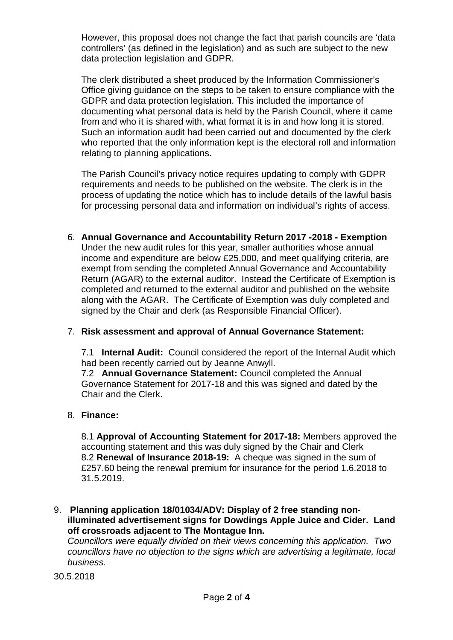However, this proposal does not change the fact that parish councils are 'data controllers' (as defined in the legislation) and as such are subject to the new data protection legislation and GDPR.

The clerk distributed a sheet produced by the Information Commissioner's Office giving guidance on the steps to be taken to ensure compliance with the GDPR and data protection legislation. This included the importance of documenting what personal data is held by the Parish Council, where it came from and who it is shared with, what format it is in and how long it is stored. Such an information audit had been carried out and documented by the clerk who reported that the only information kept is the electoral roll and information relating to planning applications.

The Parish Council's privacy notice requires updating to comply with GDPR requirements and needs to be published on the website. The clerk is in the process of updating the notice which has to include details of the lawful basis for processing personal data and information on individual's rights of access.

6. **Annual Governance and Accountability Return 2017 -2018 - Exemption** Under the new audit rules for this year, smaller authorities whose annual income and expenditure are below £25,000, and meet qualifying criteria, are exempt from sending the completed Annual Governance and Accountability Return (AGAR) to the external auditor. Instead the Certificate of Exemption is completed and returned to the external auditor and published on the website along with the AGAR. The Certificate of Exemption was duly completed and signed by the Chair and clerk (as Responsible Financial Officer).

# 7. **Risk assessment and approval of Annual Governance Statement:**

7.1 **Internal Audit:** Council considered the report of the Internal Audit which had been recently carried out by Jeanne Anwyll.

7.2 **Annual Governance Statement:** Council completed the Annual Governance Statement for 2017-18 and this was signed and dated by the Chair and the Clerk.

### 8. **Finance:**

8.1 **Approval of Accounting Statement for 2017-18:** Members approved the accounting statement and this was duly signed by the Chair and Clerk 8.2 **Renewal of Insurance 2018-19:** A cheque was signed in the sum of £257.60 being the renewal premium for insurance for the period 1.6.2018 to 31.5.2019.

9. **Planning application 18/01034/ADV: Display of 2 free standing nonilluminated advertisement signs for Dowdings Apple Juice and Cider. Land off crossroads adjacent to The Montague Inn.**

*Councillors were equally divided on their views concerning this application. Two councillors have no objection to the signs which are advertising a legitimate, local business.*

30.5.2018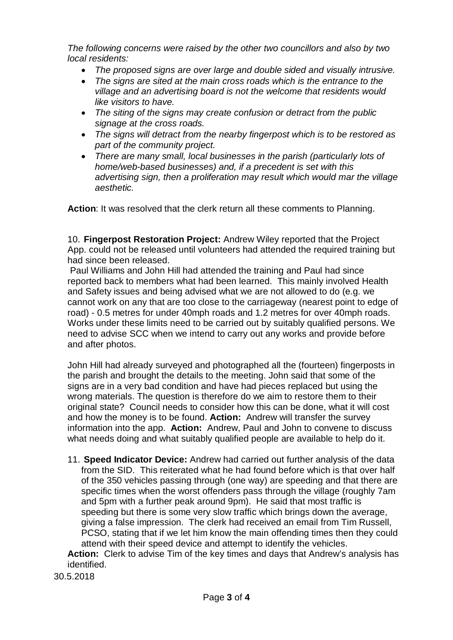*The following concerns were raised by the other two councillors and also by two local residents:*

- · *The proposed signs are over large and double sided and visually intrusive.*
- · *The signs are sited at the main cross roads which is the entrance to the village and an advertising board is not the welcome that residents would like visitors to have.*
- · *The siting of the signs may create confusion or detract from the public signage at the cross roads.*
- · *The signs will detract from the nearby fingerpost which is to be restored as part of the community project.*
- · *There are many small, local businesses in the parish (particularly lots of home/web-based businesses) and, if a precedent is set with this advertising sign, then a proliferation may result which would mar the village aesthetic.*

**Action**: It was resolved that the clerk return all these comments to Planning.

10. **Fingerpost Restoration Project:** Andrew Wiley reported that the Project App. could not be released until volunteers had attended the required training but had since been released.

 Paul Williams and John Hill had attended the training and Paul had since reported back to members what had been learned. This mainly involved Health and Safety issues and being advised what we are not allowed to do (e.g. we cannot work on any that are too close to the carriageway (nearest point to edge of road) - 0.5 metres for under 40mph roads and 1.2 metres for over 40mph roads. Works under these limits need to be carried out by suitably qualified persons. We need to advise SCC when we intend to carry out any works and provide before and after photos.

John Hill had already surveyed and photographed all the (fourteen) fingerposts in the parish and brought the details to the meeting. John said that some of the signs are in a very bad condition and have had pieces replaced but using the wrong materials. The question is therefore do we aim to restore them to their original state? Council needs to consider how this can be done, what it will cost and how the money is to be found. **Action:** Andrew will transfer the survey information into the app. **Action:** Andrew, Paul and John to convene to discuss what needs doing and what suitably qualified people are available to help do it.

11. **Speed Indicator Device:** Andrew had carried out further analysis of the data from the SID. This reiterated what he had found before which is that over half of the 350 vehicles passing through (one way) are speeding and that there are specific times when the worst offenders pass through the village (roughly 7am and 5pm with a further peak around 9pm). He said that most traffic is speeding but there is some very slow traffic which brings down the average, giving a false impression. The clerk had received an email from Tim Russell, PCSO, stating that if we let him know the main offending times then they could attend with their speed device and attempt to identify the vehicles.

**Action:** Clerk to advise Tim of the key times and days that Andrew's analysis has identified.

30.5.2018